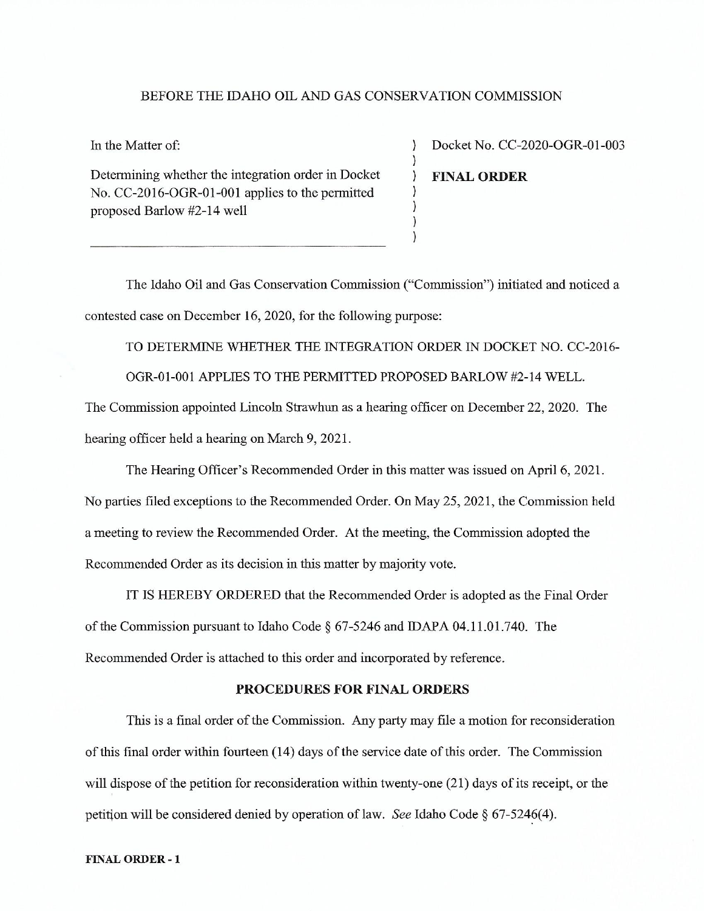#### BEFORE THE IDAHO OIL AND GAS CONSERVATION COMMISSION

 $\mathcal{E}$  $\mathcal{E}$ 

 $\left( \right)$ 

 $\mathcal{V}$ 

In the Matter of:

Determining whether the integration order in Docket No. CC-2016-OGR-01-001 applies to the permitted proposed Barlow #2-14 well

Docket No. CC-2020-OGR-01-003 **FINAL ORDER** 

The Idaho Oil and Gas Conservation Commission ("Commission") initiated and noticed a contested case on December 16, 2020, for the following purpose:

TO DETERMINE WHETHER THE INTEGRATION ORDER IN DOCKET NO. CC-2016-OGR-01-001 APPLIES TO THE PERMITTED PROPOSED BARLOW #2-14 WELL.

The Commission appointed Lincoln Strawhun as a hearing officer on December 22, 2020. The hearing officer held a hearing on March 9, 2021.

The Hearing Officer's Recommended Order in this matter was issued on April 6, 2021.

No parties filed exceptions to the Recommended Order. On May 25, 2021, the Commission held a meeting to review the Recommended Order. At the meeting, the Commission adopted the Recommended Order as its decision in this matter by majority vote.

IT IS HEREBY ORDERED that the Recommended Order is adopted as the Final Order of the Commission pursuant to Idaho Code § 67-5246 and IDAPA 04.11.01.740. The Recommended Order is attached to this order and incorporated by reference.

#### PROCEDURES FOR FINAL ORDERS

This is a final order of the Commission. Any party may file a motion for reconsideration of this final order within fourteen (14) days of the service date of this order. The Commission will dispose of the petition for reconsideration within twenty-one (21) days of its receipt, or the petition will be considered denied by operation of law. See Idaho Code  $\S$  67-5246(4).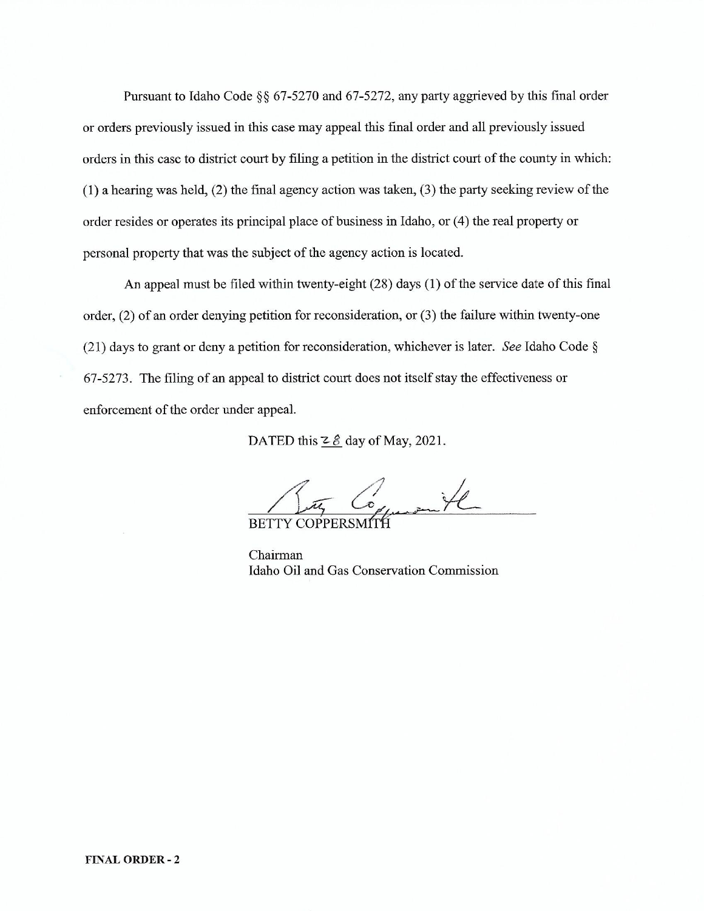Pursuant to Idaho Code §§ 67-5270 and 67-5272, any party aggrieved by this final order or orders previously issued in this case may appeal this final order and all previously issued orders in this case to district court by filing a petition in the district court of the county in which:  $(1)$  a hearing was held,  $(2)$  the final agency action was taken,  $(3)$  the party seeking review of the order resides or operates its principal place of business in Idaho, or (4) the real property or personal property that was the subject of the agency action is located.

An appeal must be filed within twenty-eight (28) days (1) of the service date of this final order,  $(2)$  of an order denying petition for reconsideration, or  $(3)$  the failure within twenty-one (21) days to grant or deny a petition for reconsideration, whichever is later. See Idaho Code  $\S$ 67-5273. The filing of an appeal to district court does not itself stay the effectiveness or enforcement of the order under appeal.

DATED this  $2 \hat{g}$  day of May, 2021.

 $\frac{1}{2}$ 

**BETTY COPPERSMI** 

Chairman Idaho Oil and Gas Conservation Commission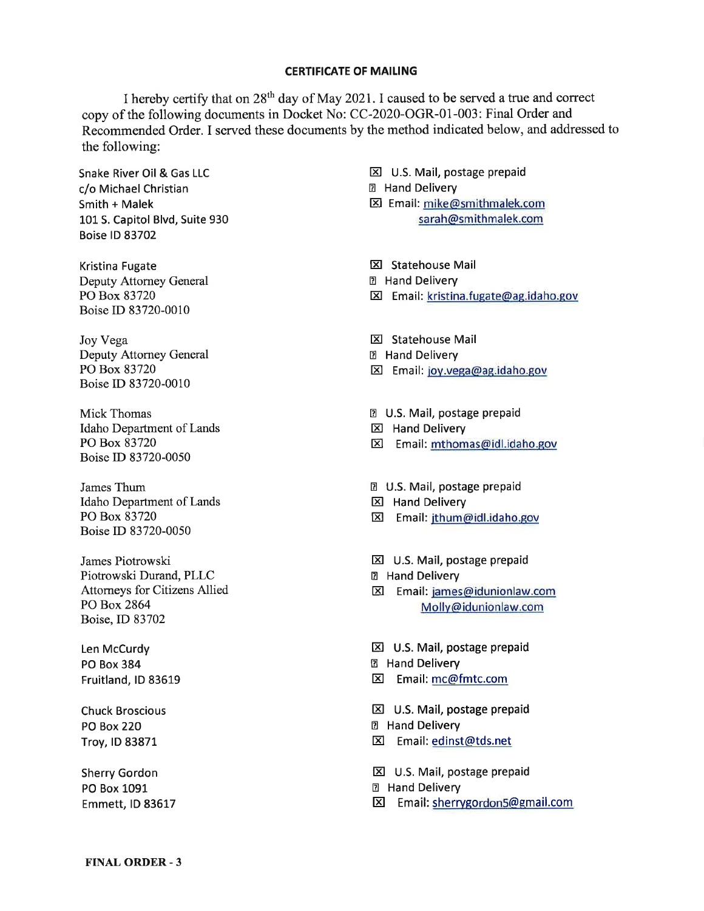#### CERTIFICATE OF MAILING

I hereby certify that on  $28<sup>th</sup>$  day of May 2021. I caused to be served a true and correct copy of the following documents in Docket No: CC-2020-OGR-01-003: Final Order and Recommended Order. I served these documents by the method indicated below, and addressed to the following:

Snake River Oil & Gas LLC c/o Michael Christian Smith + Malek 101S. Capitol Blvd, Suite 930 Boise lD 83702

Kristina Fugate Deputy Attorney General PO Box 83720 Boise ID 83720-0010

Joy Vega Deputy Attorney General PO Box 83720 Boise ID 83720-00i0

Mick Thomas Idaho Department of Lands PO Box 83720 Boise ID 83720-0050

James Thum Idaho Department of Lands PO Box 83720 Boise ID 83720-0050

James Piotrowski Piotrowski Durand, PLLC Attorneys for Citizens Allied PO Box 2864 Boise,ID 83702

Len McCurdy PO Box 384 Fruitland, lD 83619

Chuck Broscious PO Box 220 Troy, ID 83871

Sherry Gordon PO Box 1091 Emmett, ID 83617  $\boxtimes$  U.S. Mail, postage prepaid

E Hand Delivery

El Email: mike@smithmalek.com sarah@smithmalek.com

**EX** Statehouse Mail

- E Hand Delivery
- El Email: kristina.fugate@ag.idaho.gov
- **E Statehouse Mail**
- E Hand Delivery
- Email: joy.vega@ag.idaho.gov

D U.S. Mail, postage prepaid

- $\boxtimes$  Hand Delivery
- El Email: mthomas@idl.idaho.gov

D U.S. Mail, postage prepaid

- **区 Hand Delivery**
- E Email: jthum@idl.idaho.gov
- **EXI** U.S. Mail, postage prepaid
- E Hand Delivery
- El Email: iames@idunionlaw.com Mollv@idunionlaw.com

El U.S. Mail, postage prepaid E Hand Delivery E Email: mc@fmtc.com

**EXI** U.S. Mail, postage prepaid E Hand Delivery El Email:edinst@tds.net

**区 U.S. Mail, postage prepaid** 

**D** Hand Delivery

 $\boxtimes$  Email: sherrygordon5@gmail.com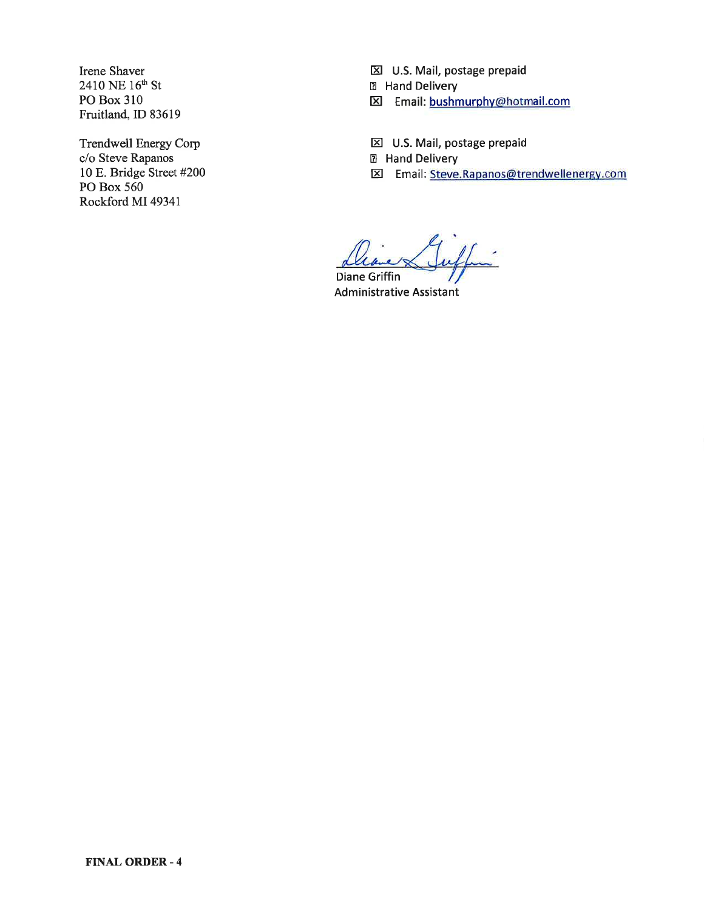Irene Shaver  $2410$  NE  $16^{\text{th}}$  St PO Box 310 Fruitland, ID 83619

Trendwell Energy Corp c/o Steve Rapanos 10 E. Bridge Street #200 PO Box 560 Rockford MI4934l

**E U.S. Mail, postage prepaid** E Hand Delivery

EI Email: bushmurphy@hotmail.com

 $\Sigma$  U.S. Mail, postage prepaid

EI Hand Delivery

Email: Steve.Rapanos@trendwellenergy.com

Diane Griffin **Administrative Assistant**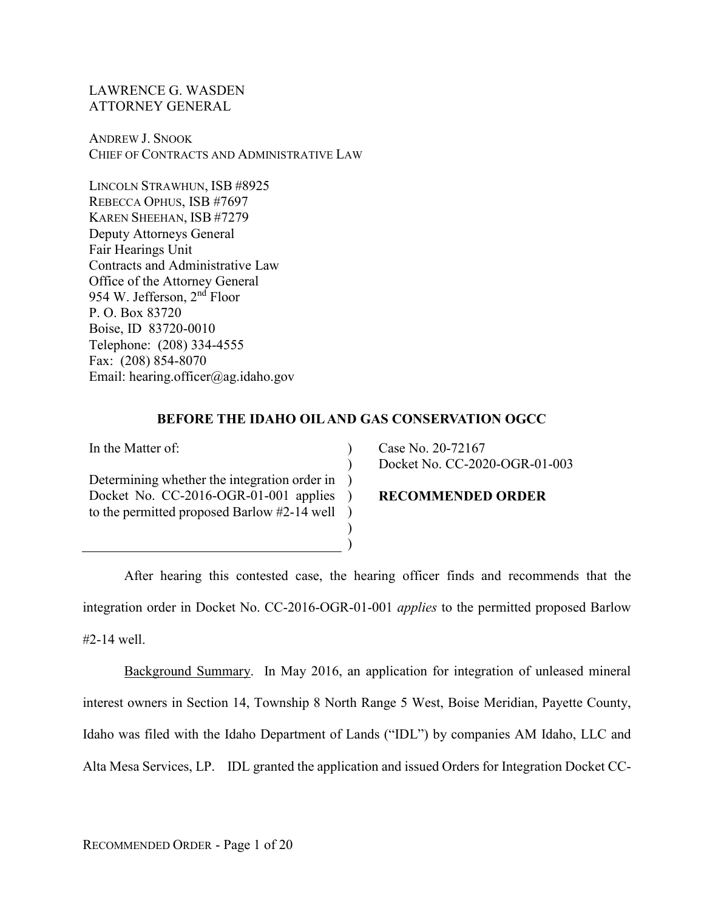LAWRENCE G. WASDEN ATTORNEY GENERAL

ANDREW J. SNOOK CHIEF OF CONTRACTS AND ADMINISTRATIVE LAW

LINCOLN STRAWHUN, ISB #8925 REBECCA OPHUS, ISB #7697 KAREN SHEEHAN, ISB #7279 Deputy Attorneys General Fair Hearings Unit Contracts and Administrative Law Office of the Attorney General 954 W. Jefferson, 2nd Floor P. O. Box 83720 Boise, ID 83720-0010 Telephone: (208) 334-4555 Fax: (208) 854-8070 Email: hearing.officer@ag.idaho.gov

## **BEFORE THE IDAHO OIL AND GAS CONSERVATION OGCC**

 $\lambda$  $\mathcal{L}$  $\lambda$ 

 $\lambda$ ) )

In the Matter of:

Determining whether the integration order in Docket No. CC-2016-OGR-01-001 applies to the permitted proposed Barlow #2-14 well  $\lambda$ 

### **RECOMMENDED ORDER**

Docket No. CC-2020-OGR-01-003

Case No. 20-72167

After hearing this contested case, the hearing officer finds and recommends that the integration order in Docket No. CC-2016-OGR-01-001 *applies* to the permitted proposed Barlow #2-14 well.

Background Summary. In May 2016, an application for integration of unleased mineral interest owners in Section 14, Township 8 North Range 5 West, Boise Meridian, Payette County, Idaho was filed with the Idaho Department of Lands ("IDL") by companies AM Idaho, LLC and Alta Mesa Services, LP. IDL granted the application and issued Orders for Integration Docket CC-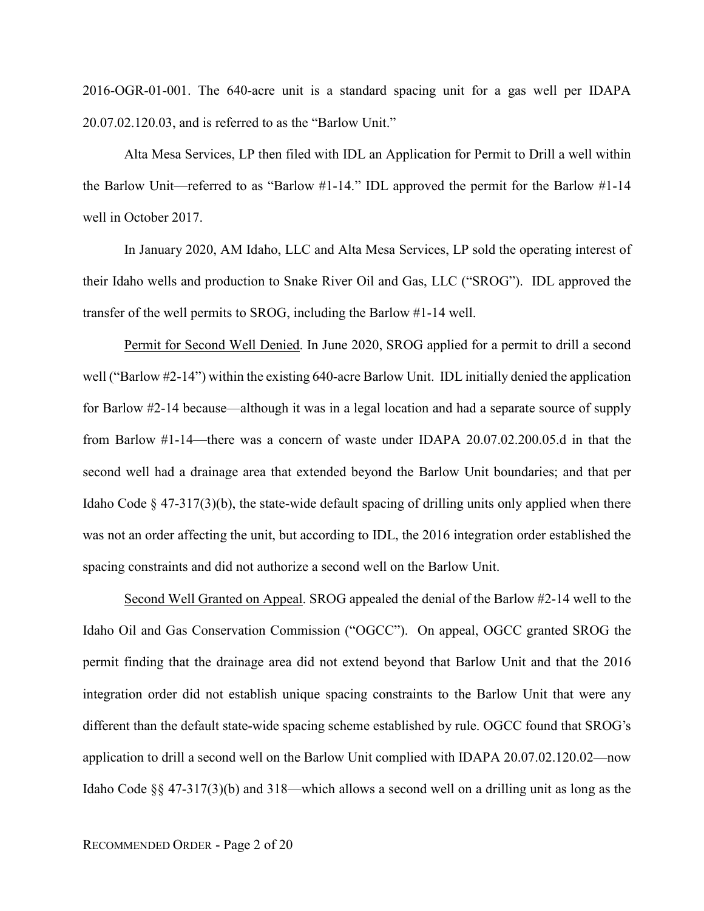2016-OGR-01-001. The 640-acre unit is a standard spacing unit for a gas well per IDAPA 20.07.02.120.03, and is referred to as the "Barlow Unit."

Alta Mesa Services, LP then filed with IDL an Application for Permit to Drill a well within the Barlow Unit—referred to as "Barlow #1-14." IDL approved the permit for the Barlow #1-14 well in October 2017.

In January 2020, AM Idaho, LLC and Alta Mesa Services, LP sold the operating interest of their Idaho wells and production to Snake River Oil and Gas, LLC ("SROG"). IDL approved the transfer of the well permits to SROG, including the Barlow #1-14 well.

Permit for Second Well Denied. In June 2020, SROG applied for a permit to drill a second well ("Barlow #2-14") within the existing 640-acre Barlow Unit. IDL initially denied the application for Barlow #2-14 because—although it was in a legal location and had a separate source of supply from Barlow #1-14—there was a concern of waste under IDAPA 20.07.02.200.05.d in that the second well had a drainage area that extended beyond the Barlow Unit boundaries; and that per Idaho Code  $\S$  47-317(3)(b), the state-wide default spacing of drilling units only applied when there was not an order affecting the unit, but according to IDL, the 2016 integration order established the spacing constraints and did not authorize a second well on the Barlow Unit.

Second Well Granted on Appeal. SROG appealed the denial of the Barlow #2-14 well to the Idaho Oil and Gas Conservation Commission ("OGCC"). On appeal, OGCC granted SROG the permit finding that the drainage area did not extend beyond that Barlow Unit and that the 2016 integration order did not establish unique spacing constraints to the Barlow Unit that were any different than the default state-wide spacing scheme established by rule. OGCC found that SROG's application to drill a second well on the Barlow Unit complied with IDAPA 20.07.02.120.02—now Idaho Code §§ 47-317(3)(b) and 318—which allows a second well on a drilling unit as long as the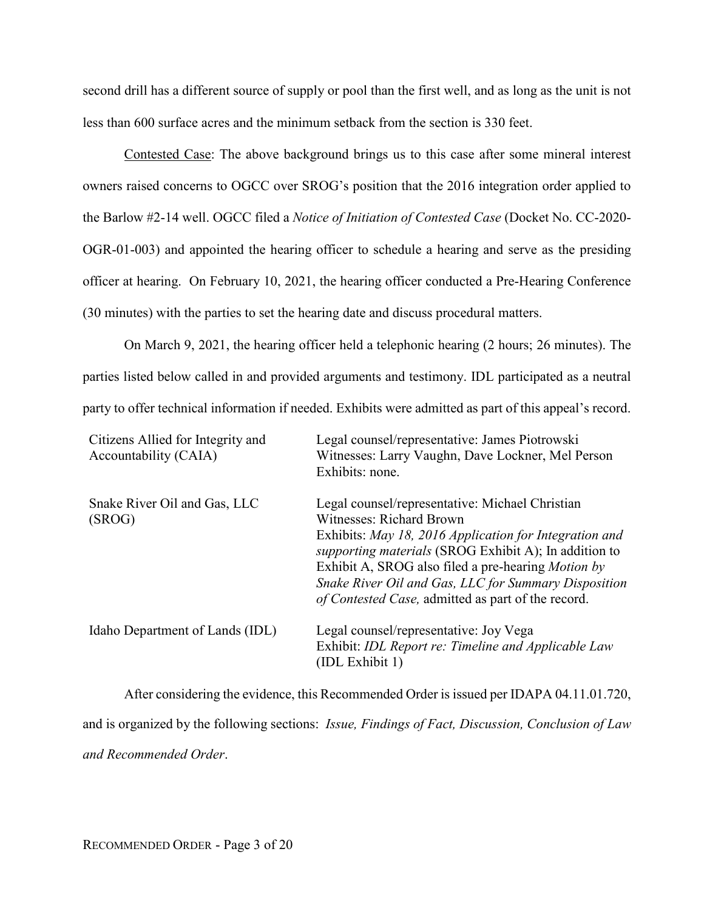second drill has a different source of supply or pool than the first well, and as long as the unit is not less than 600 surface acres and the minimum setback from the section is 330 feet.

Contested Case: The above background brings us to this case after some mineral interest owners raised concerns to OGCC over SROG's position that the 2016 integration order applied to the Barlow #2-14 well. OGCC filed a *Notice of Initiation of Contested Case* (Docket No. CC-2020- OGR-01-003) and appointed the hearing officer to schedule a hearing and serve as the presiding officer at hearing. On February 10, 2021, the hearing officer conducted a Pre-Hearing Conference (30 minutes) with the parties to set the hearing date and discuss procedural matters.

On March 9, 2021, the hearing officer held a telephonic hearing (2 hours; 26 minutes). The parties listed below called in and provided arguments and testimony. IDL participated as a neutral party to offer technical information if needed. Exhibits were admitted as part of this appeal's record.

| Citizens Allied for Integrity and<br>Accountability (CAIA) | Legal counsel/representative: James Piotrowski<br>Witnesses: Larry Vaughn, Dave Lockner, Mel Person<br>Exhibits: none.                                                                                                                                                                                                                                                    |
|------------------------------------------------------------|---------------------------------------------------------------------------------------------------------------------------------------------------------------------------------------------------------------------------------------------------------------------------------------------------------------------------------------------------------------------------|
| Snake River Oil and Gas, LLC<br>(SROG)                     | Legal counsel/representative: Michael Christian<br>Witnesses: Richard Brown<br>Exhibits: May 18, 2016 Application for Integration and<br>supporting materials (SROG Exhibit A); In addition to<br>Exhibit A, SROG also filed a pre-hearing <i>Motion by</i><br>Snake River Oil and Gas, LLC for Summary Disposition<br>of Contested Case, admitted as part of the record. |
| Idaho Department of Lands (IDL)                            | Legal counsel/representative: Joy Vega<br>Exhibit: IDL Report re: Timeline and Applicable Law<br>(IDL Exhibit 1)                                                                                                                                                                                                                                                          |

After considering the evidence, this Recommended Order is issued per IDAPA 04.11.01.720, and is organized by the following sections: *Issue, Findings of Fact, Discussion, Conclusion of Law and Recommended Order*.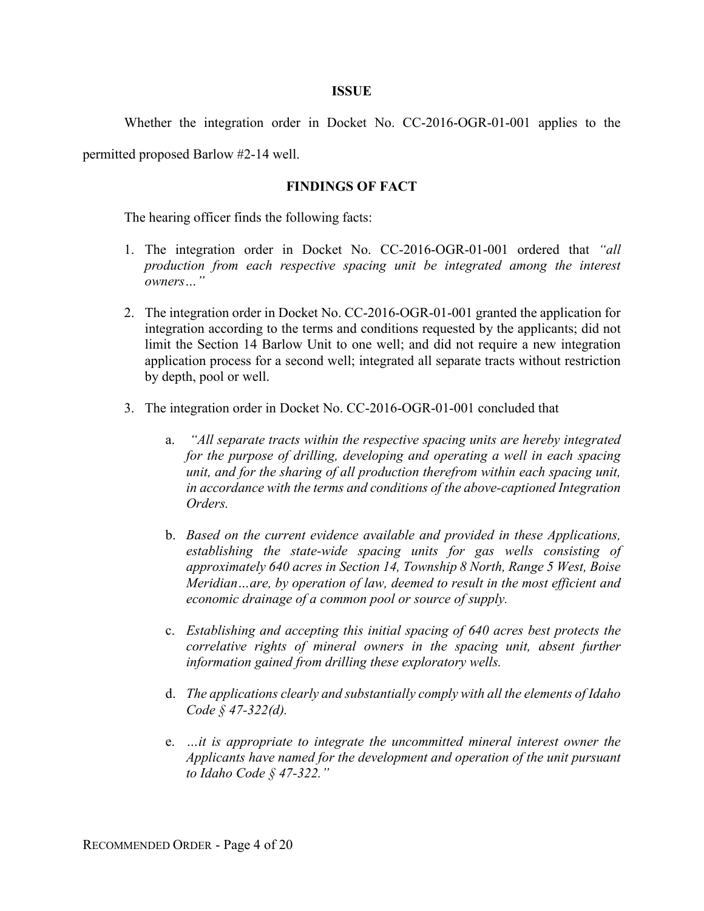### **ISSUE**

Whether the integration order in Docket No. CC-2016-OGR-01-001 applies to the

permitted proposed Barlow #2-14 well.

### **FINDINGS OF FACT**

The hearing officer finds the following facts:

- 1. The integration order in Docket No. CC-2016-OGR-01-001 ordered that *"all production from each respective spacing unit be integrated among the interest owners…"*
- 2. The integration order in Docket No. CC-2016-OGR-01-001 granted the application for integration according to the terms and conditions requested by the applicants; did not limit the Section 14 Barlow Unit to one well; and did not require a new integration application process for a second well; integrated all separate tracts without restriction by depth, pool or well.
- 3. The integration order in Docket No. CC-2016-OGR-01-001 concluded that
	- a. *"All separate tracts within the respective spacing units are hereby integrated for the purpose of drilling, developing and operating a well in each spacing unit, and for the sharing of all production therefrom within each spacing unit, in accordance with the terms and conditions of the above-captioned Integration Orders.*
	- b. *Based on the current evidence available and provided in these Applications, establishing the state-wide spacing units for gas wells consisting of approximately 640 acres in Section 14, Township 8 North, Range 5 West, Boise Meridian…are, by operation of law, deemed to result in the most efficient and economic drainage of a common pool or source of supply.*
	- c. *Establishing and accepting this initial spacing of 640 acres best protects the correlative rights of mineral owners in the spacing unit, absent further information gained from drilling these exploratory wells.*
	- d. *The applications clearly and substantially comply with all the elements of Idaho Code § 47-322(d).*
	- e. *…it is appropriate to integrate the uncommitted mineral interest owner the Applicants have named for the development and operation of the unit pursuant to Idaho Code § 47-322."*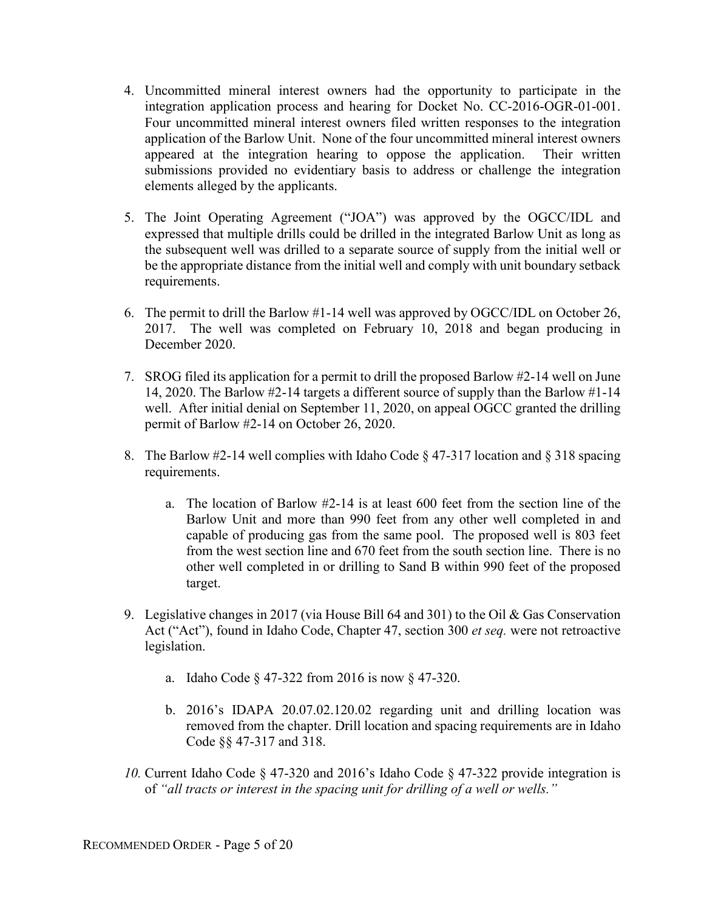- 4. Uncommitted mineral interest owners had the opportunity to participate in the integration application process and hearing for Docket No. CC-2016-OGR-01-001. Four uncommitted mineral interest owners filed written responses to the integration application of the Barlow Unit. None of the four uncommitted mineral interest owners appeared at the integration hearing to oppose the application. Their written submissions provided no evidentiary basis to address or challenge the integration elements alleged by the applicants.
- 5. The Joint Operating Agreement ("JOA") was approved by the OGCC/IDL and expressed that multiple drills could be drilled in the integrated Barlow Unit as long as the subsequent well was drilled to a separate source of supply from the initial well or be the appropriate distance from the initial well and comply with unit boundary setback requirements.
- 6. The permit to drill the Barlow #1-14 well was approved by OGCC/IDL on October 26, 2017. The well was completed on February 10, 2018 and began producing in December 2020.
- 7. SROG filed its application for a permit to drill the proposed Barlow #2-14 well on June 14, 2020. The Barlow #2-14 targets a different source of supply than the Barlow #1-14 well. After initial denial on September 11, 2020, on appeal OGCC granted the drilling permit of Barlow #2-14 on October 26, 2020.
- 8. The Barlow #2-14 well complies with Idaho Code  $\S 47-317$  location and  $\S 318$  spacing requirements.
	- a. The location of Barlow #2-14 is at least 600 feet from the section line of the Barlow Unit and more than 990 feet from any other well completed in and capable of producing gas from the same pool. The proposed well is 803 feet from the west section line and 670 feet from the south section line. There is no other well completed in or drilling to Sand B within 990 feet of the proposed target.
- 9. Legislative changes in 2017 (via House Bill 64 and 301) to the Oil & Gas Conservation Act ("Act"), found in Idaho Code, Chapter 47, section 300 *et seq.* were not retroactive legislation.
	- a. Idaho Code § 47-322 from 2016 is now § 47-320.
	- b. 2016's IDAPA 20.07.02.120.02 regarding unit and drilling location was removed from the chapter. Drill location and spacing requirements are in Idaho Code §§ 47-317 and 318.
- *10.* Current Idaho Code § 47-320 and 2016's Idaho Code § 47-322 provide integration is of *"all tracts or interest in the spacing unit for drilling of a well or wells."*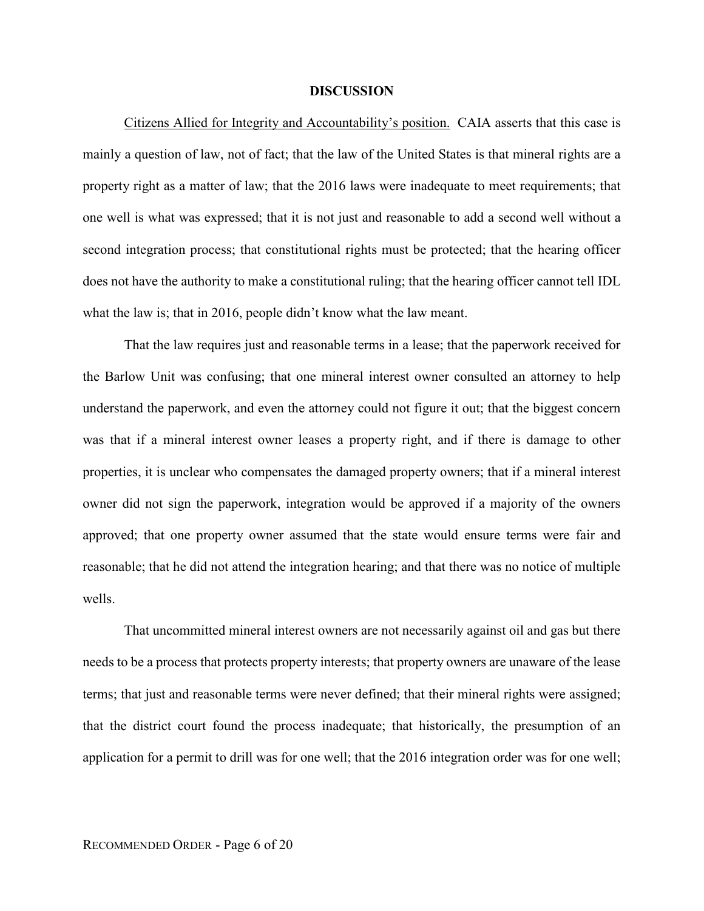#### **DISCUSSION**

Citizens Allied for Integrity and Accountability's position. CAIA asserts that this case is mainly a question of law, not of fact; that the law of the United States is that mineral rights are a property right as a matter of law; that the 2016 laws were inadequate to meet requirements; that one well is what was expressed; that it is not just and reasonable to add a second well without a second integration process; that constitutional rights must be protected; that the hearing officer does not have the authority to make a constitutional ruling; that the hearing officer cannot tell IDL what the law is; that in 2016, people didn't know what the law meant.

That the law requires just and reasonable terms in a lease; that the paperwork received for the Barlow Unit was confusing; that one mineral interest owner consulted an attorney to help understand the paperwork, and even the attorney could not figure it out; that the biggest concern was that if a mineral interest owner leases a property right, and if there is damage to other properties, it is unclear who compensates the damaged property owners; that if a mineral interest owner did not sign the paperwork, integration would be approved if a majority of the owners approved; that one property owner assumed that the state would ensure terms were fair and reasonable; that he did not attend the integration hearing; and that there was no notice of multiple wells.

That uncommitted mineral interest owners are not necessarily against oil and gas but there needs to be a process that protects property interests; that property owners are unaware of the lease terms; that just and reasonable terms were never defined; that their mineral rights were assigned; that the district court found the process inadequate; that historically, the presumption of an application for a permit to drill was for one well; that the 2016 integration order was for one well;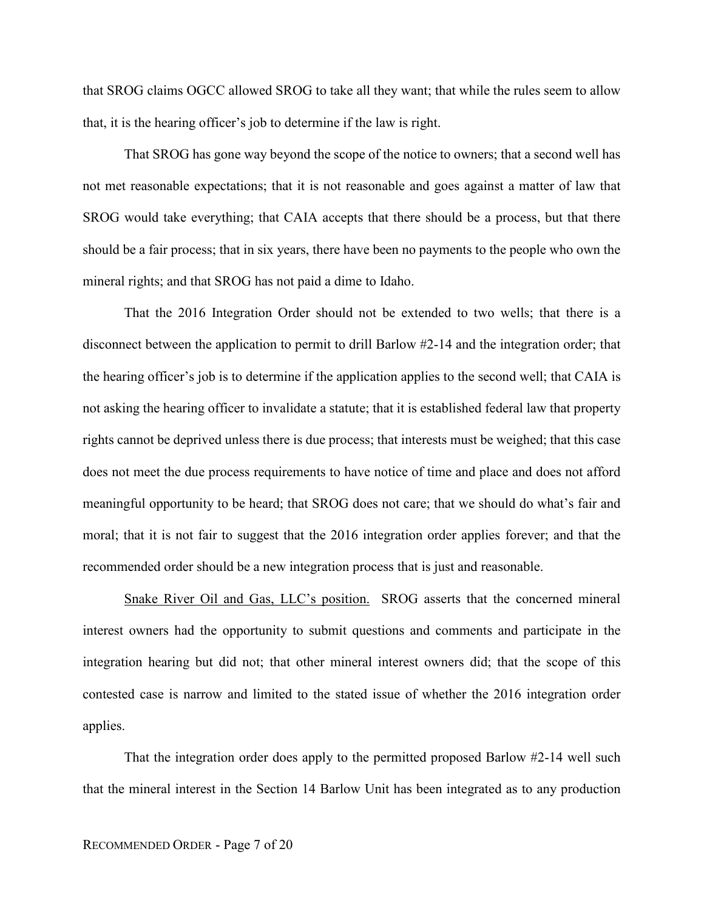that SROG claims OGCC allowed SROG to take all they want; that while the rules seem to allow that, it is the hearing officer's job to determine if the law is right.

That SROG has gone way beyond the scope of the notice to owners; that a second well has not met reasonable expectations; that it is not reasonable and goes against a matter of law that SROG would take everything; that CAIA accepts that there should be a process, but that there should be a fair process; that in six years, there have been no payments to the people who own the mineral rights; and that SROG has not paid a dime to Idaho.

That the 2016 Integration Order should not be extended to two wells; that there is a disconnect between the application to permit to drill Barlow #2-14 and the integration order; that the hearing officer's job is to determine if the application applies to the second well; that CAIA is not asking the hearing officer to invalidate a statute; that it is established federal law that property rights cannot be deprived unless there is due process; that interests must be weighed; that this case does not meet the due process requirements to have notice of time and place and does not afford meaningful opportunity to be heard; that SROG does not care; that we should do what's fair and moral; that it is not fair to suggest that the 2016 integration order applies forever; and that the recommended order should be a new integration process that is just and reasonable.

Snake River Oil and Gas, LLC's position. SROG asserts that the concerned mineral interest owners had the opportunity to submit questions and comments and participate in the integration hearing but did not; that other mineral interest owners did; that the scope of this contested case is narrow and limited to the stated issue of whether the 2016 integration order applies.

That the integration order does apply to the permitted proposed Barlow #2-14 well such that the mineral interest in the Section 14 Barlow Unit has been integrated as to any production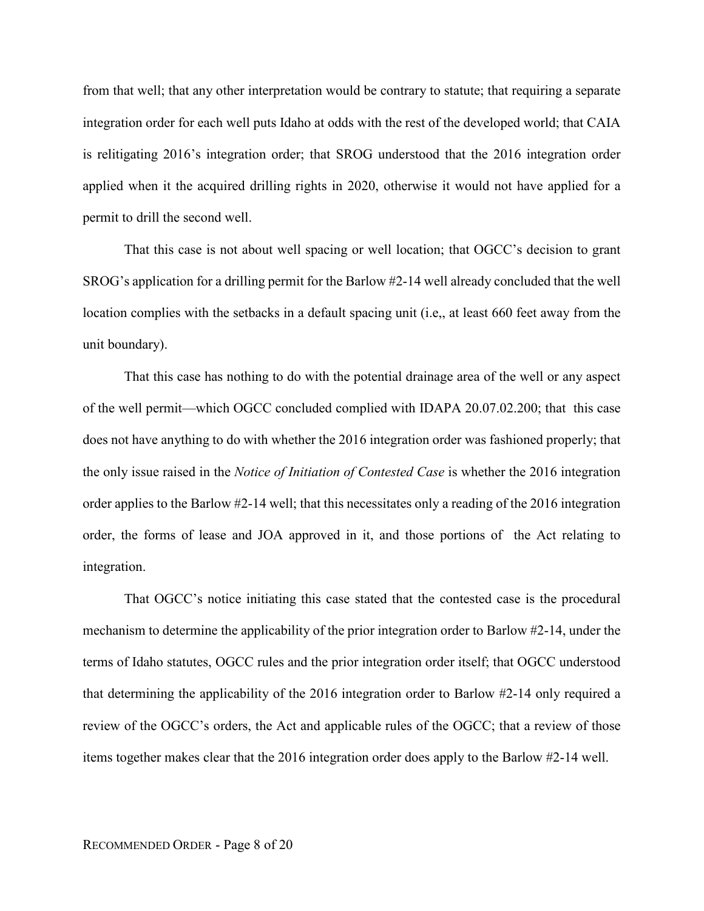from that well; that any other interpretation would be contrary to statute; that requiring a separate integration order for each well puts Idaho at odds with the rest of the developed world; that CAIA is relitigating 2016's integration order; that SROG understood that the 2016 integration order applied when it the acquired drilling rights in 2020, otherwise it would not have applied for a permit to drill the second well.

That this case is not about well spacing or well location; that OGCC's decision to grant SROG's application for a drilling permit for the Barlow #2-14 well already concluded that the well location complies with the setbacks in a default spacing unit (i.e,, at least 660 feet away from the unit boundary).

That this case has nothing to do with the potential drainage area of the well or any aspect of the well permit—which OGCC concluded complied with IDAPA 20.07.02.200; that this case does not have anything to do with whether the 2016 integration order was fashioned properly; that the only issue raised in the *Notice of Initiation of Contested Case* is whether the 2016 integration order applies to the Barlow #2-14 well; that this necessitates only a reading of the 2016 integration order, the forms of lease and JOA approved in it, and those portions of the Act relating to integration.

That OGCC's notice initiating this case stated that the contested case is the procedural mechanism to determine the applicability of the prior integration order to Barlow #2-14, under the terms of Idaho statutes, OGCC rules and the prior integration order itself; that OGCC understood that determining the applicability of the 2016 integration order to Barlow #2-14 only required a review of the OGCC's orders, the Act and applicable rules of the OGCC; that a review of those items together makes clear that the 2016 integration order does apply to the Barlow #2-14 well.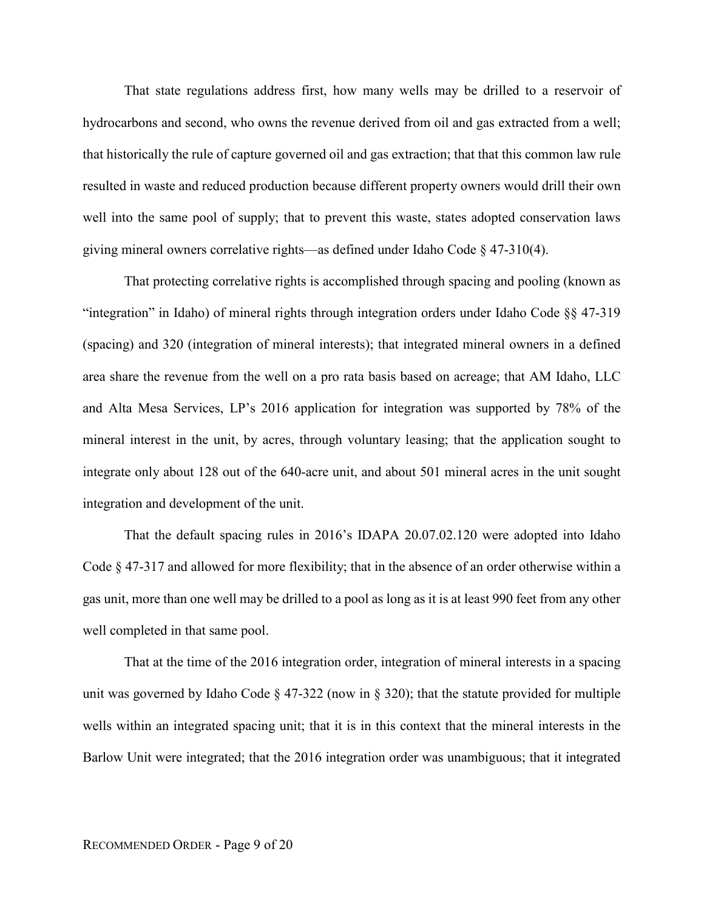That state regulations address first, how many wells may be drilled to a reservoir of hydrocarbons and second, who owns the revenue derived from oil and gas extracted from a well; that historically the rule of capture governed oil and gas extraction; that that this common law rule resulted in waste and reduced production because different property owners would drill their own well into the same pool of supply; that to prevent this waste, states adopted conservation laws giving mineral owners correlative rights—as defined under Idaho Code § 47-310(4).

That protecting correlative rights is accomplished through spacing and pooling (known as "integration" in Idaho) of mineral rights through integration orders under Idaho Code §§ 47-319 (spacing) and 320 (integration of mineral interests); that integrated mineral owners in a defined area share the revenue from the well on a pro rata basis based on acreage; that AM Idaho, LLC and Alta Mesa Services, LP's 2016 application for integration was supported by 78% of the mineral interest in the unit, by acres, through voluntary leasing; that the application sought to integrate only about 128 out of the 640-acre unit, and about 501 mineral acres in the unit sought integration and development of the unit.

That the default spacing rules in 2016's IDAPA 20.07.02.120 were adopted into Idaho Code § 47-317 and allowed for more flexibility; that in the absence of an order otherwise within a gas unit, more than one well may be drilled to a pool as long as it is at least 990 feet from any other well completed in that same pool.

That at the time of the 2016 integration order, integration of mineral interests in a spacing unit was governed by Idaho Code  $\S 47-322$  (now in  $\S 320$ ); that the statute provided for multiple wells within an integrated spacing unit; that it is in this context that the mineral interests in the Barlow Unit were integrated; that the 2016 integration order was unambiguous; that it integrated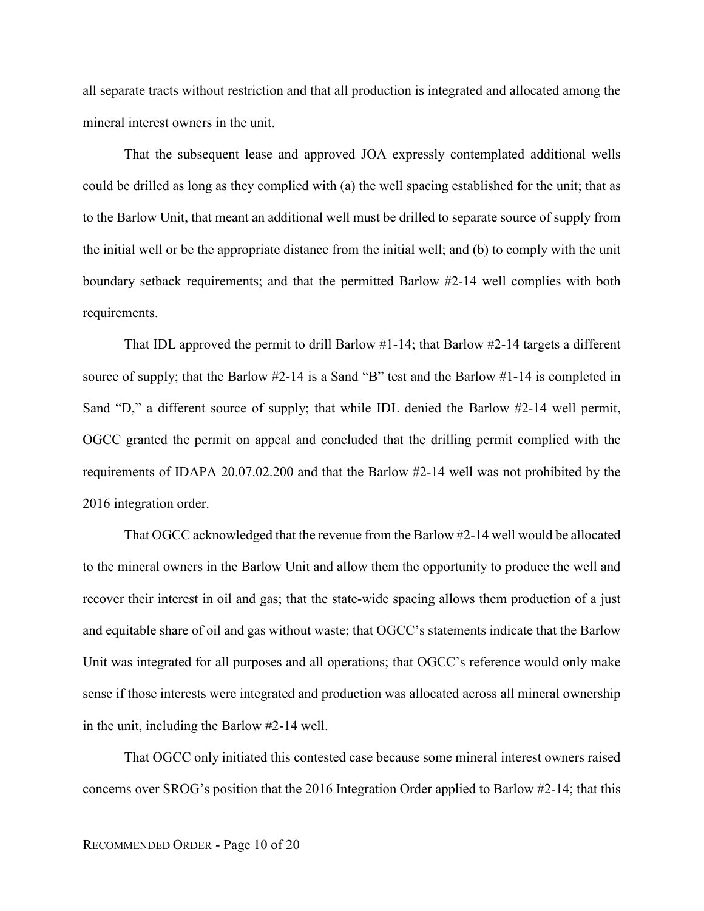all separate tracts without restriction and that all production is integrated and allocated among the mineral interest owners in the unit.

That the subsequent lease and approved JOA expressly contemplated additional wells could be drilled as long as they complied with (a) the well spacing established for the unit; that as to the Barlow Unit, that meant an additional well must be drilled to separate source of supply from the initial well or be the appropriate distance from the initial well; and (b) to comply with the unit boundary setback requirements; and that the permitted Barlow #2-14 well complies with both requirements.

That IDL approved the permit to drill Barlow #1-14; that Barlow #2-14 targets a different source of supply; that the Barlow #2-14 is a Sand "B" test and the Barlow #1-14 is completed in Sand "D," a different source of supply; that while IDL denied the Barlow #2-14 well permit, OGCC granted the permit on appeal and concluded that the drilling permit complied with the requirements of IDAPA 20.07.02.200 and that the Barlow #2-14 well was not prohibited by the 2016 integration order.

That OGCC acknowledged that the revenue from the Barlow #2-14 well would be allocated to the mineral owners in the Barlow Unit and allow them the opportunity to produce the well and recover their interest in oil and gas; that the state-wide spacing allows them production of a just and equitable share of oil and gas without waste; that OGCC's statements indicate that the Barlow Unit was integrated for all purposes and all operations; that OGCC's reference would only make sense if those interests were integrated and production was allocated across all mineral ownership in the unit, including the Barlow #2-14 well.

That OGCC only initiated this contested case because some mineral interest owners raised concerns over SROG's position that the 2016 Integration Order applied to Barlow #2-14; that this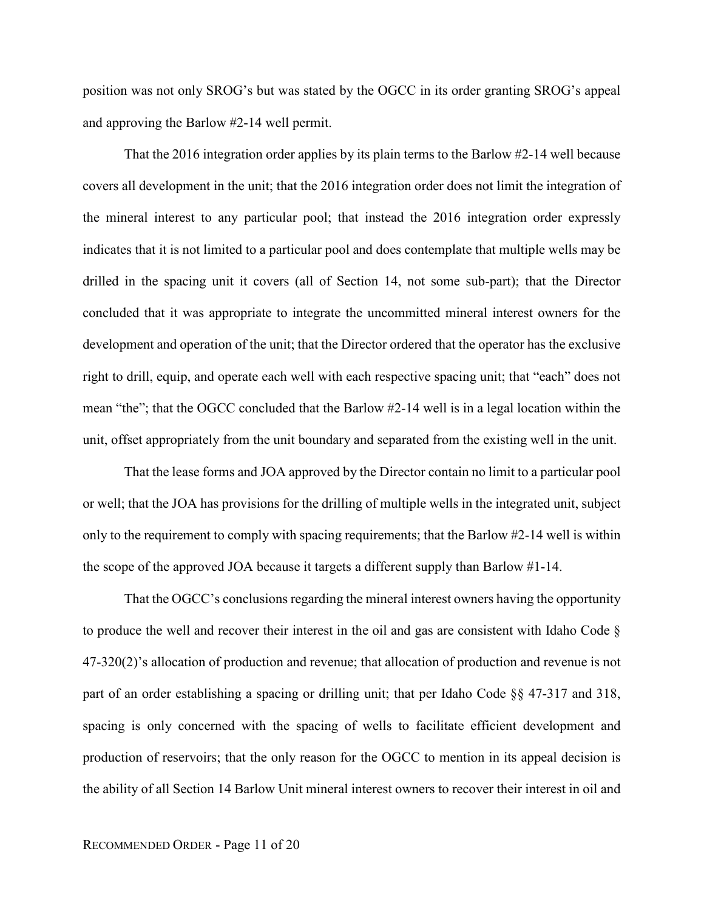position was not only SROG's but was stated by the OGCC in its order granting SROG's appeal and approving the Barlow #2-14 well permit.

That the 2016 integration order applies by its plain terms to the Barlow #2-14 well because covers all development in the unit; that the 2016 integration order does not limit the integration of the mineral interest to any particular pool; that instead the 2016 integration order expressly indicates that it is not limited to a particular pool and does contemplate that multiple wells may be drilled in the spacing unit it covers (all of Section 14, not some sub-part); that the Director concluded that it was appropriate to integrate the uncommitted mineral interest owners for the development and operation of the unit; that the Director ordered that the operator has the exclusive right to drill, equip, and operate each well with each respective spacing unit; that "each" does not mean "the"; that the OGCC concluded that the Barlow #2-14 well is in a legal location within the unit, offset appropriately from the unit boundary and separated from the existing well in the unit.

That the lease forms and JOA approved by the Director contain no limit to a particular pool or well; that the JOA has provisions for the drilling of multiple wells in the integrated unit, subject only to the requirement to comply with spacing requirements; that the Barlow #2-14 well is within the scope of the approved JOA because it targets a different supply than Barlow #1-14.

That the OGCC's conclusions regarding the mineral interest owners having the opportunity to produce the well and recover their interest in the oil and gas are consistent with Idaho Code § 47-320(2)'s allocation of production and revenue; that allocation of production and revenue is not part of an order establishing a spacing or drilling unit; that per Idaho Code §§ 47-317 and 318, spacing is only concerned with the spacing of wells to facilitate efficient development and production of reservoirs; that the only reason for the OGCC to mention in its appeal decision is the ability of all Section 14 Barlow Unit mineral interest owners to recover their interest in oil and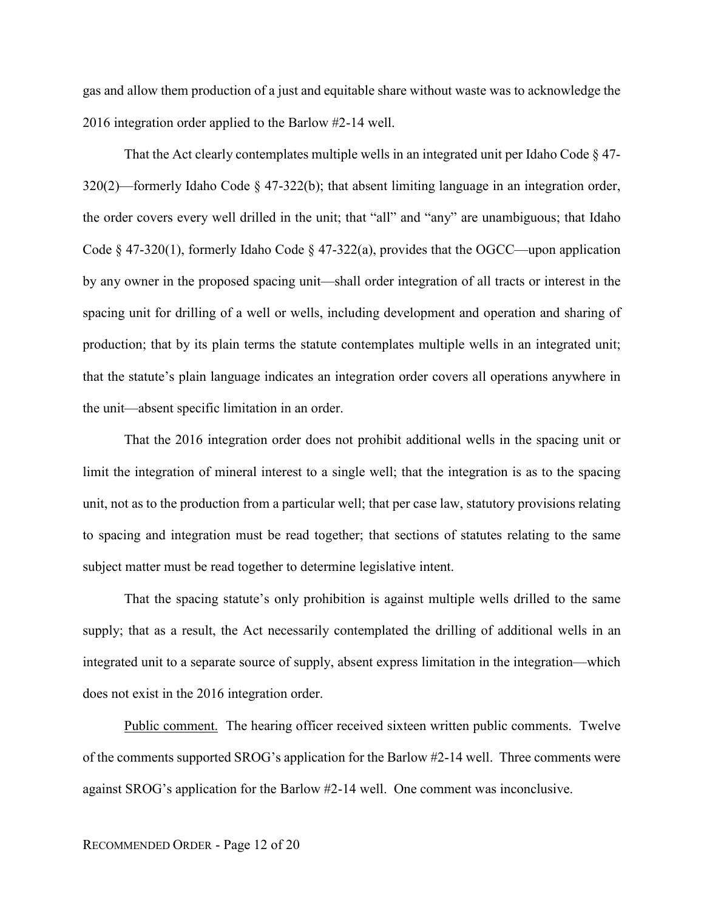gas and allow them production of a just and equitable share without waste was to acknowledge the 2016 integration order applied to the Barlow #2-14 well.

That the Act clearly contemplates multiple wells in an integrated unit per Idaho Code  $\S 47$ - $320(2)$ —formerly Idaho Code § 47-322(b); that absent limiting language in an integration order, the order covers every well drilled in the unit; that "all" and "any" are unambiguous; that Idaho Code  $\S$  47-320(1), formerly Idaho Code  $\S$  47-322(a), provides that the OGCC—upon application by any owner in the proposed spacing unit—shall order integration of all tracts or interest in the spacing unit for drilling of a well or wells, including development and operation and sharing of production; that by its plain terms the statute contemplates multiple wells in an integrated unit; that the statute's plain language indicates an integration order covers all operations anywhere in the unit—absent specific limitation in an order.

That the 2016 integration order does not prohibit additional wells in the spacing unit or limit the integration of mineral interest to a single well; that the integration is as to the spacing unit, not as to the production from a particular well; that per case law, statutory provisions relating to spacing and integration must be read together; that sections of statutes relating to the same subject matter must be read together to determine legislative intent.

That the spacing statute's only prohibition is against multiple wells drilled to the same supply; that as a result, the Act necessarily contemplated the drilling of additional wells in an integrated unit to a separate source of supply, absent express limitation in the integration—which does not exist in the 2016 integration order.

Public comment. The hearing officer received sixteen written public comments. Twelve of the comments supported SROG's application for the Barlow #2-14 well. Three comments were against SROG's application for the Barlow #2-14 well. One comment was inconclusive.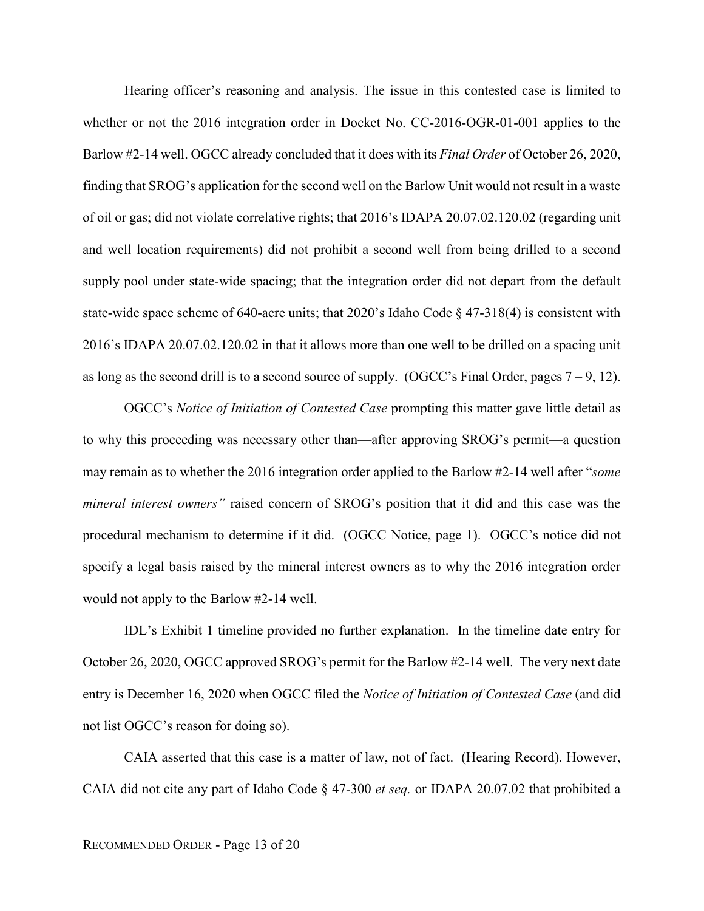Hearing officer's reasoning and analysis. The issue in this contested case is limited to whether or not the 2016 integration order in Docket No. CC-2016-OGR-01-001 applies to the Barlow #2-14 well. OGCC already concluded that it does with its *Final Order* of October 26, 2020, finding that SROG's application for the second well on the Barlow Unit would not result in a waste of oil or gas; did not violate correlative rights; that 2016's IDAPA 20.07.02.120.02 (regarding unit and well location requirements) did not prohibit a second well from being drilled to a second supply pool under state-wide spacing; that the integration order did not depart from the default state-wide space scheme of 640-acre units; that 2020's Idaho Code § 47-318(4) is consistent with 2016's IDAPA 20.07.02.120.02 in that it allows more than one well to be drilled on a spacing unit as long as the second drill is to a second source of supply. (OGCC's Final Order, pages  $7 - 9$ , 12).

OGCC's *Notice of Initiation of Contested Case* prompting this matter gave little detail as to why this proceeding was necessary other than—after approving SROG's permit—a question may remain as to whether the 2016 integration order applied to the Barlow #2-14 well after "*some mineral interest owners"* raised concern of SROG's position that it did and this case was the procedural mechanism to determine if it did. (OGCC Notice, page 1). OGCC's notice did not specify a legal basis raised by the mineral interest owners as to why the 2016 integration order would not apply to the Barlow #2-14 well.

IDL's Exhibit 1 timeline provided no further explanation. In the timeline date entry for October 26, 2020, OGCC approved SROG's permit for the Barlow #2-14 well. The very next date entry is December 16, 2020 when OGCC filed the *Notice of Initiation of Contested Case* (and did not list OGCC's reason for doing so).

CAIA asserted that this case is a matter of law, not of fact. (Hearing Record). However, CAIA did not cite any part of Idaho Code § 47-300 *et seq.* or IDAPA 20.07.02 that prohibited a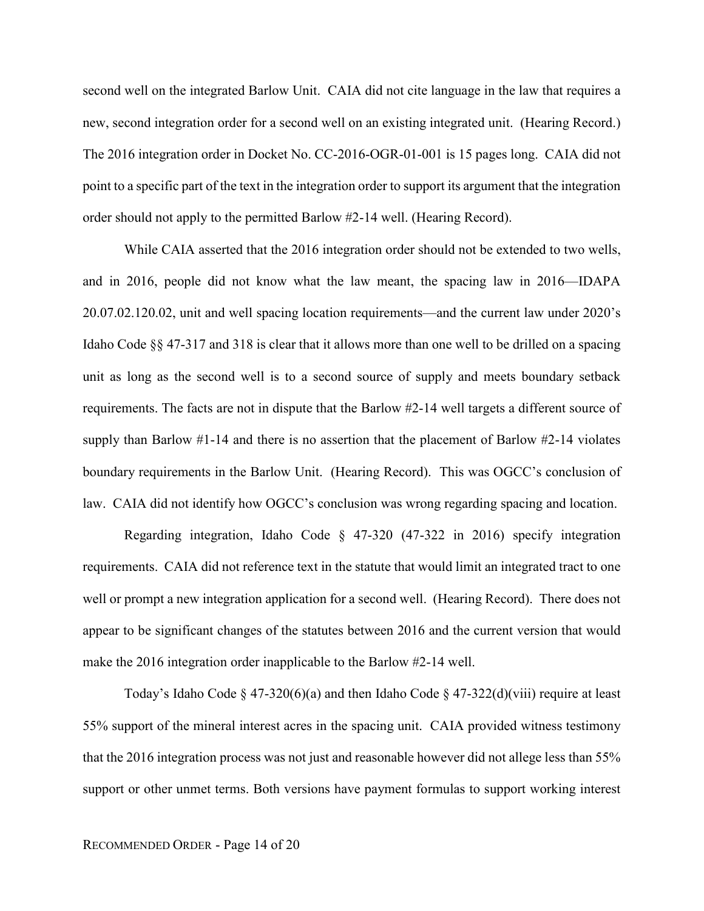second well on the integrated Barlow Unit. CAIA did not cite language in the law that requires a new, second integration order for a second well on an existing integrated unit. (Hearing Record.) The 2016 integration order in Docket No. CC-2016-OGR-01-001 is 15 pages long. CAIA did not point to a specific part of the text in the integration order to support its argument that the integration order should not apply to the permitted Barlow #2-14 well. (Hearing Record).

While CAIA asserted that the 2016 integration order should not be extended to two wells, and in 2016, people did not know what the law meant, the spacing law in 2016—IDAPA 20.07.02.120.02, unit and well spacing location requirements—and the current law under 2020's Idaho Code §§ 47-317 and 318 is clear that it allows more than one well to be drilled on a spacing unit as long as the second well is to a second source of supply and meets boundary setback requirements. The facts are not in dispute that the Barlow #2-14 well targets a different source of supply than Barlow #1-14 and there is no assertion that the placement of Barlow #2-14 violates boundary requirements in the Barlow Unit. (Hearing Record). This was OGCC's conclusion of law. CAIA did not identify how OGCC's conclusion was wrong regarding spacing and location.

Regarding integration, Idaho Code § 47-320 (47-322 in 2016) specify integration requirements. CAIA did not reference text in the statute that would limit an integrated tract to one well or prompt a new integration application for a second well. (Hearing Record). There does not appear to be significant changes of the statutes between 2016 and the current version that would make the 2016 integration order inapplicable to the Barlow #2-14 well.

Today's Idaho Code § 47-320(6)(a) and then Idaho Code § 47-322(d)(viii) require at least 55% support of the mineral interest acres in the spacing unit. CAIA provided witness testimony that the 2016 integration process was not just and reasonable however did not allege less than 55% support or other unmet terms. Both versions have payment formulas to support working interest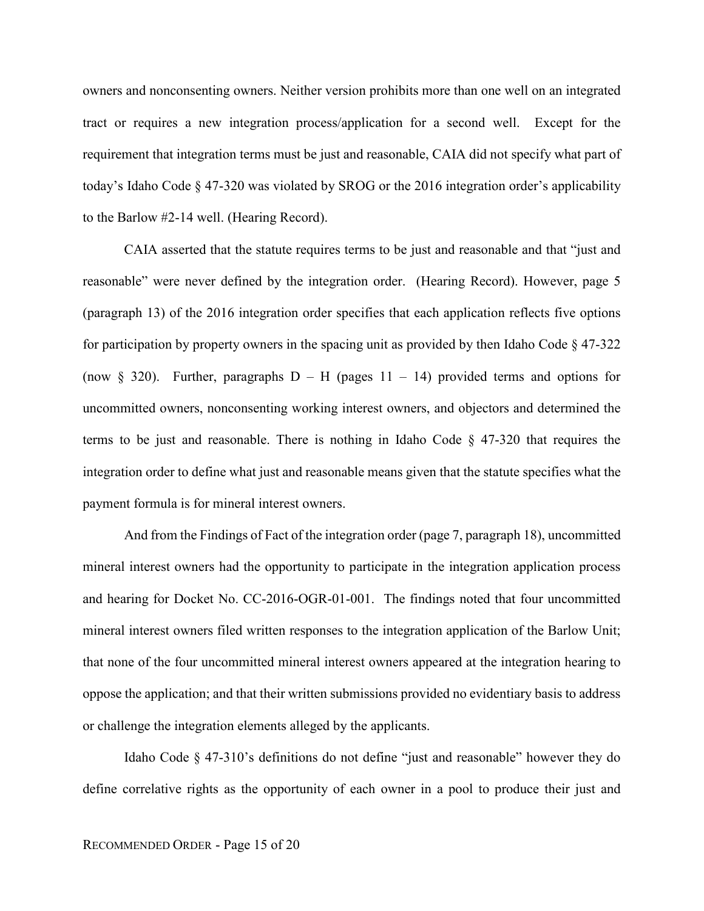owners and nonconsenting owners. Neither version prohibits more than one well on an integrated tract or requires a new integration process/application for a second well. Except for the requirement that integration terms must be just and reasonable, CAIA did not specify what part of today's Idaho Code  $\S 47-320$  was violated by SROG or the 2016 integration order's applicability to the Barlow #2-14 well. (Hearing Record).

CAIA asserted that the statute requires terms to be just and reasonable and that "just and reasonable" were never defined by the integration order. (Hearing Record). However, page 5 (paragraph 13) of the 2016 integration order specifies that each application reflects five options for participation by property owners in the spacing unit as provided by then Idaho Code § 47-322 (now § 320). Further, paragraphs  $D - H$  (pages 11 – 14) provided terms and options for uncommitted owners, nonconsenting working interest owners, and objectors and determined the terms to be just and reasonable. There is nothing in Idaho Code § 47-320 that requires the integration order to define what just and reasonable means given that the statute specifies what the payment formula is for mineral interest owners.

And from the Findings of Fact of the integration order (page 7, paragraph 18), uncommitted mineral interest owners had the opportunity to participate in the integration application process and hearing for Docket No. CC-2016-OGR-01-001. The findings noted that four uncommitted mineral interest owners filed written responses to the integration application of the Barlow Unit; that none of the four uncommitted mineral interest owners appeared at the integration hearing to oppose the application; and that their written submissions provided no evidentiary basis to address or challenge the integration elements alleged by the applicants.

Idaho Code § 47-310's definitions do not define "just and reasonable" however they do define correlative rights as the opportunity of each owner in a pool to produce their just and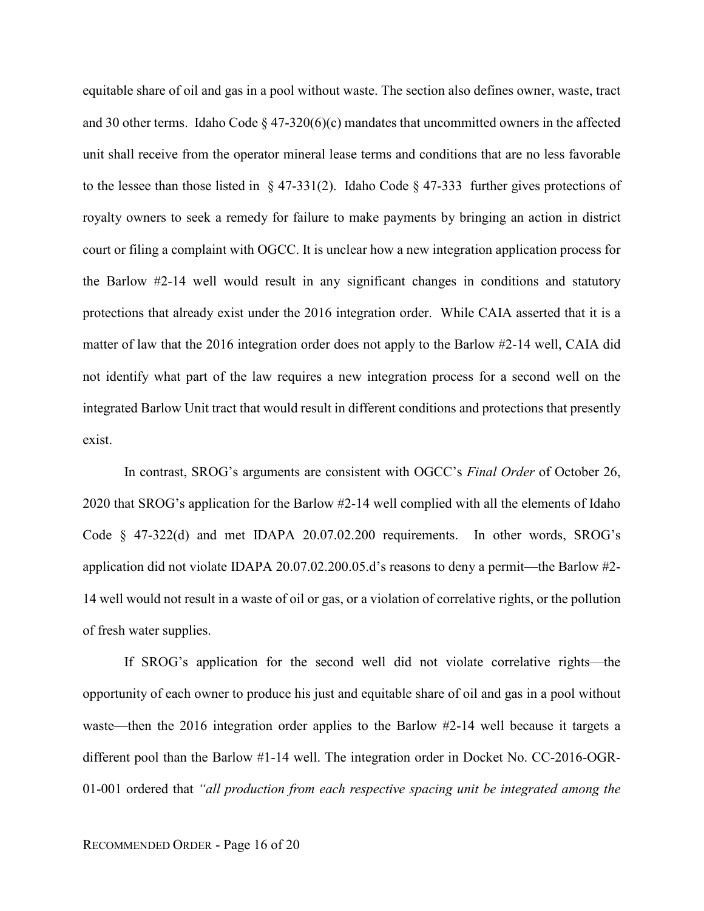equitable share of oil and gas in a pool without waste. The section also defines owner, waste, tract and 30 other terms. Idaho Code  $\S$  47-320(6)(c) mandates that uncommitted owners in the affected unit shall receive from the operator mineral lease terms and conditions that are no less favorable to the lessee than those listed in  $\S 47-331(2)$ . Idaho Code  $\S 47-333$  further gives protections of royalty owners to seek a remedy for failure to make payments by bringing an action in district court or filing a complaint with OGCC. It is unclear how a new integration application process for the Barlow #2-14 well would result in any significant changes in conditions and statutory protections that already exist under the 2016 integration order. While CAIA asserted that it is a matter of law that the 2016 integration order does not apply to the Barlow #2-14 well, CAIA did not identify what part of the law requires a new integration process for a second well on the integrated Barlow Unit tract that would result in different conditions and protections that presently exist.

In contrast, SROG's arguments are consistent with OGCC's *Final Order* of October 26, 2020 that SROG's application for the Barlow #2-14 well complied with all the elements of Idaho Code § 47-322(d) and met IDAPA 20.07.02.200 requirements. In other words, SROG's application did not violate IDAPA 20.07.02.200.05.d's reasons to deny a permit—the Barlow #2- 14 well would not result in a waste of oil or gas, or a violation of correlative rights, or the pollution of fresh water supplies.

If SROG's application for the second well did not violate correlative rights—the opportunity of each owner to produce his just and equitable share of oil and gas in a pool without waste—then the 2016 integration order applies to the Barlow #2-14 well because it targets a different pool than the Barlow #1-14 well. The integration order in Docket No. CC-2016-OGR-01-001 ordered that *"all production from each respective spacing unit be integrated among the*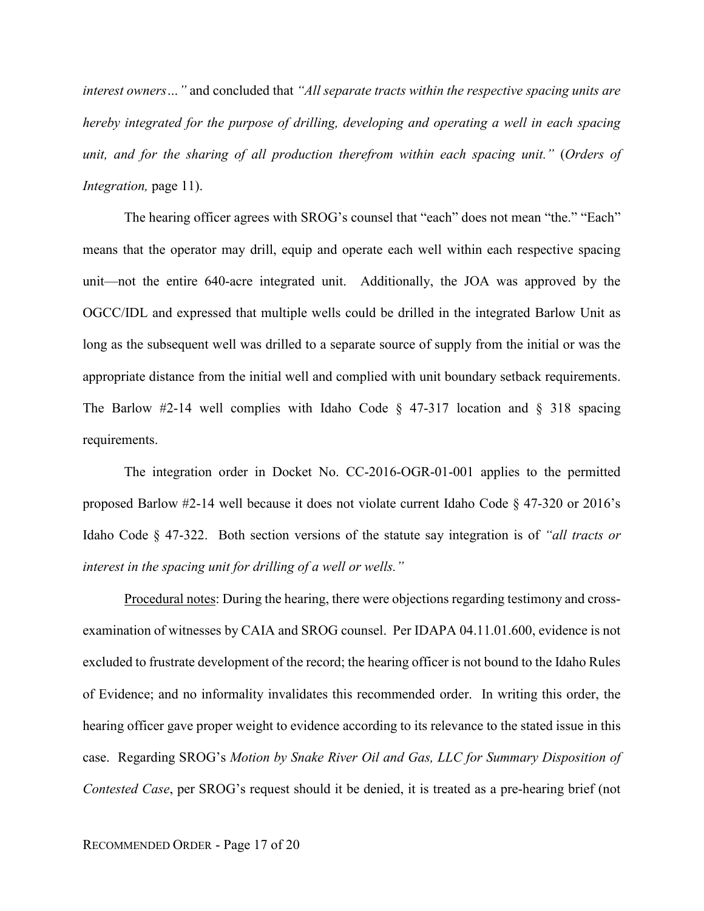*interest owners…"* and concluded that *"All separate tracts within the respective spacing units are hereby integrated for the purpose of drilling, developing and operating a well in each spacing unit, and for the sharing of all production therefrom within each spacing unit."* (*Orders of Integration, page 11).* 

The hearing officer agrees with SROG's counsel that "each" does not mean "the." "Each" means that the operator may drill, equip and operate each well within each respective spacing unit—not the entire 640-acre integrated unit. Additionally, the JOA was approved by the OGCC/IDL and expressed that multiple wells could be drilled in the integrated Barlow Unit as long as the subsequent well was drilled to a separate source of supply from the initial or was the appropriate distance from the initial well and complied with unit boundary setback requirements. The Barlow #2-14 well complies with Idaho Code  $\S$  47-317 location and  $\S$  318 spacing requirements.

The integration order in Docket No. CC-2016-OGR-01-001 applies to the permitted proposed Barlow #2-14 well because it does not violate current Idaho Code § 47-320 or 2016's Idaho Code § 47-322. Both section versions of the statute say integration is of *"all tracts or interest in the spacing unit for drilling of a well or wells."* 

Procedural notes: During the hearing, there were objections regarding testimony and crossexamination of witnesses by CAIA and SROG counsel. Per IDAPA 04.11.01.600, evidence is not excluded to frustrate development of the record; the hearing officer is not bound to the Idaho Rules of Evidence; and no informality invalidates this recommended order. In writing this order, the hearing officer gave proper weight to evidence according to its relevance to the stated issue in this case. Regarding SROG's *Motion by Snake River Oil and Gas, LLC for Summary Disposition of Contested Case*, per SROG's request should it be denied, it is treated as a pre-hearing brief (not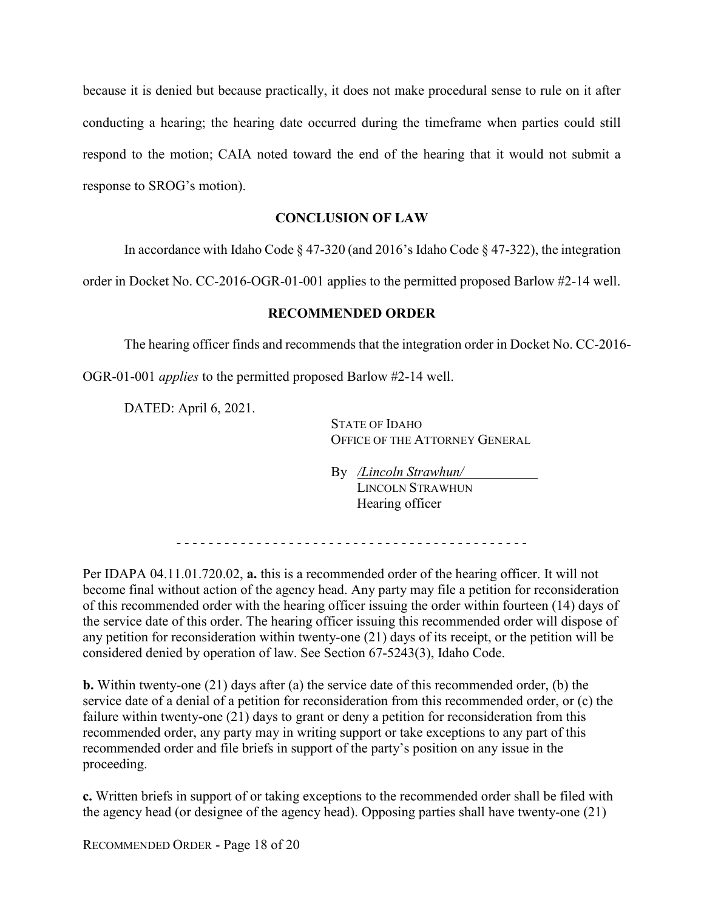because it is denied but because practically, it does not make procedural sense to rule on it after conducting a hearing; the hearing date occurred during the timeframe when parties could still respond to the motion; CAIA noted toward the end of the hearing that it would not submit a response to SROG's motion).

# **CONCLUSION OF LAW**

In accordance with Idaho Code § 47-320 (and 2016's Idaho Code § 47-322), the integration

order in Docket No. CC-2016-OGR-01-001 applies to the permitted proposed Barlow #2-14 well.

## **RECOMMENDED ORDER**

The hearing officer finds and recommends that the integration order in Docket No. CC-2016-

OGR-01-001 *applies* to the permitted proposed Barlow #2-14 well.

DATED: April 6, 2021.

STATE OF IDAHO OFFICE OF THE ATTORNEY GENERAL

By */Lincoln Strawhun/* LINCOLN STRAWHUN Hearing officer

- - - - - - - - - - - - - - - - - - - - - - - - - - - - - - - - - - - - - - - - - - - -

Per IDAPA 04.11.01.720.02, **a.** this is a recommended order of the hearing officer. It will not become final without action of the agency head. Any party may file a petition for reconsideration of this recommended order with the hearing officer issuing the order within fourteen (14) days of the service date of this order. The hearing officer issuing this recommended order will dispose of any petition for reconsideration within twenty-one (21) days of its receipt, or the petition will be considered denied by operation of law. See Section 67-5243(3), Idaho Code.

**b.** Within twenty-one (21) days after (a) the service date of this recommended order, (b) the service date of a denial of a petition for reconsideration from this recommended order, or (c) the failure within twenty-one (21) days to grant or deny a petition for reconsideration from this recommended order, any party may in writing support or take exceptions to any part of this recommended order and file briefs in support of the party's position on any issue in the proceeding.

**c.** Written briefs in support of or taking exceptions to the recommended order shall be filed with the agency head (or designee of the agency head). Opposing parties shall have twenty-one (21)

RECOMMENDED ORDER - Page 18 of 20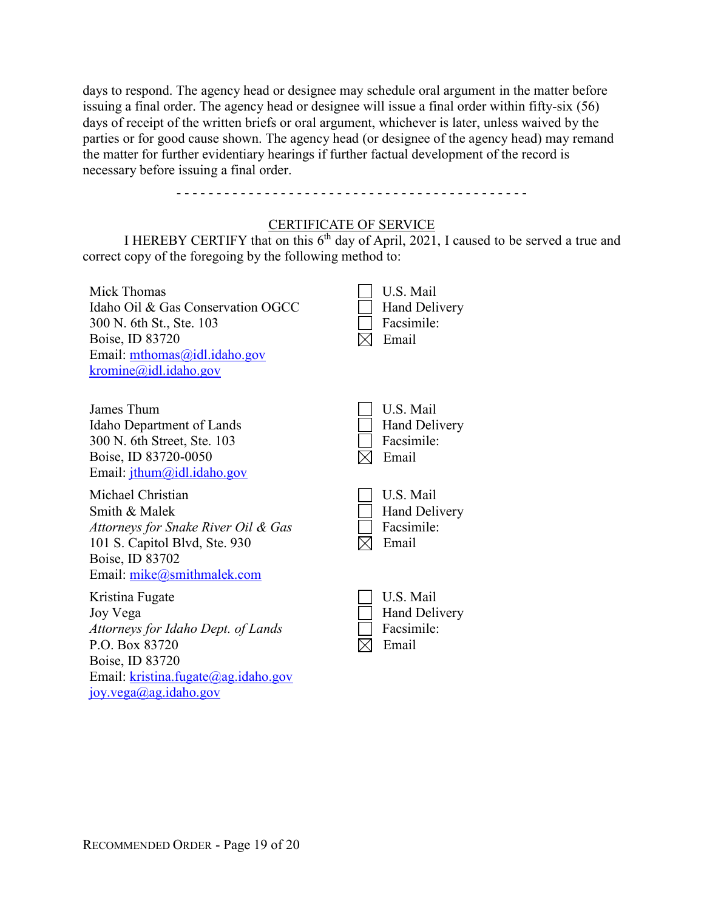days to respond. The agency head or designee may schedule oral argument in the matter before issuing a final order. The agency head or designee will issue a final order within fifty-six (56) days of receipt of the written briefs or oral argument, whichever is later, unless waived by the parties or for good cause shown. The agency head (or designee of the agency head) may remand the matter for further evidentiary hearings if further factual development of the record is necessary before issuing a final order.

## CERTIFICATE OF SERVICE

- - - - - - - - - - - - - - - - - - - - - - - - - - - - - - - - - - - - - - - - - - - -

I HEREBY CERTIFY that on this  $6<sup>th</sup>$  day of April, 2021, I caused to be served a true and correct copy of the foregoing by the following method to:

| Mick Thomas<br>Idaho Oil & Gas Conservation OGCC<br>300 N. 6th St., Ste. 103<br>Boise, ID 83720<br>Email: mthomas@idl.idaho.gov<br>$k$ romine@idl.idaho.gov                       | U.S. Mail<br><b>Hand Delivery</b><br>Facsimile:<br>Email |
|-----------------------------------------------------------------------------------------------------------------------------------------------------------------------------------|----------------------------------------------------------|
| James Thum<br>Idaho Department of Lands<br>300 N. 6th Street, Ste. 103<br>Boise, ID 83720-0050<br>Email: $j$ thum@idl.idaho.gov                                                   | U.S. Mail<br><b>Hand Delivery</b><br>Facsimile:<br>Email |
| Michael Christian<br>Smith & Malek<br>Attorneys for Snake River Oil & Gas<br>101 S. Capitol Blvd, Ste. 930<br>Boise, ID 83702<br>Email: mike@smithmalek.com                       | U.S. Mail<br><b>Hand Delivery</b><br>Facsimile:<br>Email |
| Kristina Fugate<br>Joy Vega<br>Attorneys for Idaho Dept. of Lands<br>P.O. Box 83720<br>Boise, ID 83720<br>Email: kristina.fugate@ag.idaho.gov<br>$joy. vega(\omega)$ ag.idaho.gov | U.S. Mail<br><b>Hand Delivery</b><br>Facsimile:<br>Email |